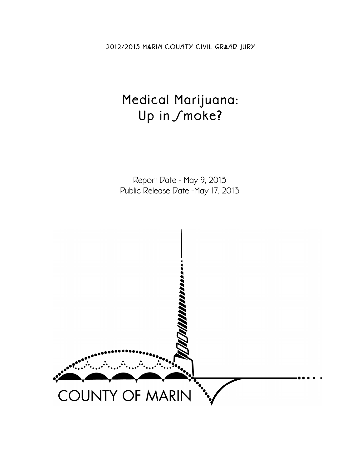2012/2013 MARIN COUNTY CIVIL GRAND JURY

# Medical Marijuana: Up in Smoke?

Report Date - May 9, 2013 Public Release Date -May 17, 2013

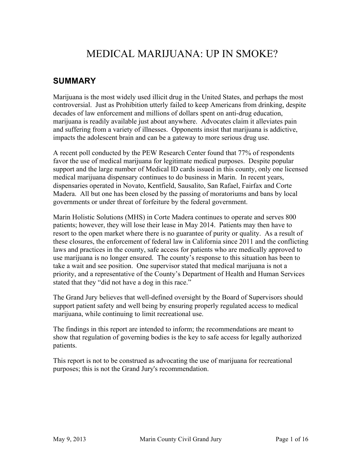## MEDICAL MARIJUANA: UP IN SMOKE?

### **SUMMARY**

Marijuana is the most widely used illicit drug in the United States, and perhaps the most controversial. Just as Prohibition utterly failed to keep Americans from drinking, despite decades of law enforcement and millions of dollars spent on anti-drug education, marijuana is readily available just about anywhere. Advocates claim it alleviates pain and suffering from a variety of illnesses. Opponents insist that marijuana is addictive, impacts the adolescent brain and can be a gateway to more serious drug use.

A recent poll conducted by the PEW Research Center found that 77% of respondents favor the use of medical marijuana for legitimate medical purposes. Despite popular support and the large number of Medical ID cards issued in this county, only one licensed medical marijuana dispensary continues to do business in Marin. In recent years, dispensaries operated in Novato, Kentfield, Sausalito, San Rafael, Fairfax and Corte Madera. All but one has been closed by the passing of moratoriums and bans by local governments or under threat of forfeiture by the federal government.

Marin Holistic Solutions (MHS) in Corte Madera continues to operate and serves 800 patients; however, they will lose their lease in May 2014. Patients may then have to resort to the open market where there is no guarantee of purity or quality. As a result of these closures, the enforcement of federal law in California since 2011 and the conflicting laws and practices in the county, safe access for patients who are medically approved to use marijuana is no longer ensured. The county's response to this situation has been to take a wait and see position. One supervisor stated that medical marijuana is not a priority, and a representative of the County's Department of Health and Human Services stated that they "did not have a dog in this race."

The Grand Jury believes that well-defined oversight by the Board of Supervisors should support patient safety and well being by ensuring properly regulated access to medical marijuana, while continuing to limit recreational use.

The findings in this report are intended to inform; the recommendations are meant to show that regulation of governing bodies is the key to safe access for legally authorized patients.

This report is not to be construed as advocating the use of marijuana for recreational purposes; this is not the Grand Jury's recommendation.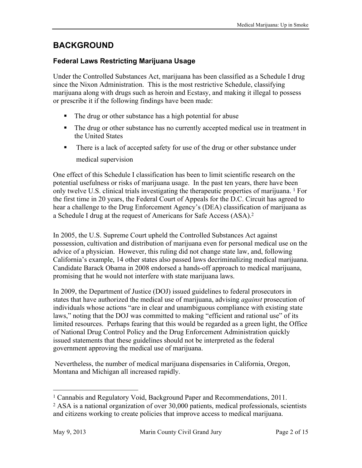### **BACKGROUND**

#### **Federal Laws Restricting Marijuana Usage**

Under the Controlled Substances Act, marijuana has been classified as a Schedule I drug since the Nixon Administration. This is the most restrictive Schedule, classifying marijuana along with drugs such as heroin and Ecstasy, and making it illegal to possess or prescribe it if the following findings have been made:

- ! The drug or other substance has a high potential for abuse
- ! The drug or other substance has no currently accepted medical use in treatment in the United States
- ! There is a lack of accepted safety for use of the drug or other substance under medical supervision

One effect of this Schedule I classification has been to limit scientific research on the potential usefulness or risks of marijuana usage. In the past ten years, there have been only twelve U.S. clinical trials investigating the therapeutic properties of marijuana. 1 For the first time in 20 years, the Federal Court of Appeals for the D.C. Circuit has agreed to hear a challenge to the Drug Enforcement Agency's (DEA) classification of marijuana as a Schedule I drug at the request of Americans for Safe Access (ASA). 2

In 2005, the U.S. Supreme Court upheld the Controlled Substances Act against possession, cultivation and distribution of marijuana even for personal medical use on the advice of a physician. However, this ruling did not change state law, and, following California's example, 14 other states also passed laws decriminalizing medical marijuana. Candidate Barack Obama in 2008 endorsed a hands-off approach to medical marijuana, promising that he would not interfere with state marijuana laws.

In 2009, the Department of Justice (DOJ) issued guidelines to federal prosecutors in states that have authorized the medical use of marijuana, advising *against* prosecution of individuals whose actions "are in clear and unambiguous compliance with existing state laws," noting that the DOJ was committed to making "efficient and rational use" of its limited resources. Perhaps fearing that this would be regarded as a green light, the Office of National Drug Control Policy and the Drug Enforcement Administration quickly issued statements that these guidelines should not be interpreted as the federal government approving the medical use of marijuana.

Nevertheless, the number of medical marijuana dispensaries in California, Oregon, Montana and Michigan all increased rapidly.

<sup>&</sup>lt;sup>1</sup> Cannabis and Regulatory Void, Background Paper and Recommendations, 2011.

<sup>2</sup> ASA is a national organization of over 30,000 patients, medical professionals, scientists and citizens working to create policies that improve access to medical marijuana.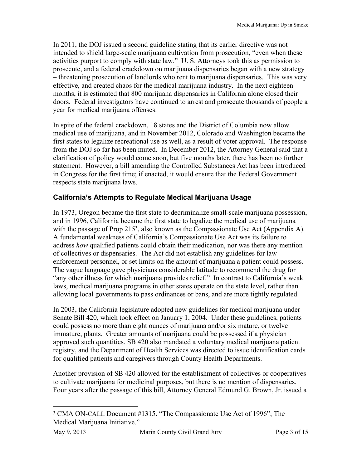In 2011, the DOJ issued a second guideline stating that its earlier directive was not intended to shield large-scale marijuana cultivation from prosecution, "even when these activities purport to comply with state law." U. S. Attorneys took this as permission to prosecute, and a federal crackdown on marijuana dispensaries began with a new strategy – threatening prosecution of landlords who rent to marijuana dispensaries. This was very effective, and created chaos for the medical marijuana industry. In the next eighteen months, it is estimated that 800 marijuana dispensaries in California alone closed their doors. Federal investigators have continued to arrest and prosecute thousands of people a year for medical marijuana offenses.

In spite of the federal crackdown, 18 states and the District of Columbia now allow medical use of marijuana, and in November 2012, Colorado and Washington became the first states to legalize recreational use as well, as a result of voter approval. The response from the DOJ so far has been muted. In December 2012, the Attorney General said that a clarification of policy would come soon, but five months later, there has been no further statement. However, a bill amending the Controlled Substances Act has been introduced in Congress for the first time; if enacted, it would ensure that the Federal Government respects state marijuana laws.

#### **California's Attempts to Regulate Medical Marijuana Usage**

In 1973, Oregon became the first state to decriminalize small-scale marijuana possession, and in 1996, California became the first state to legalize the medical use of marijuana with the passage of Prop 215<sup>3</sup>, also known as the Compassionate Use Act (Appendix A). A fundamental weakness of California's Compassionate Use Act was its failure to address *how* qualified patients could obtain their medication, nor was there any mention of collectives or dispensaries. The Act did not establish any guidelines for law enforcement personnel, or set limits on the amount of marijuana a patient could possess. The vague language gave physicians considerable latitude to recommend the drug for "any other illness for which marijuana provides relief." In contrast to California's weak laws, medical marijuana programs in other states operate on the state level, rather than allowing local governments to pass ordinances or bans, and are more tightly regulated.

In 2003, the California legislature adopted new guidelines for medical marijuana under Senate Bill 420, which took effect on January 1, 2004. Under these guidelines, patients could possess no more than eight ounces of marijuana and/or six mature, or twelve immature, plants. Greater amounts of marijuana could be possessed if a physician approved such quantities. SB 420 also mandated a voluntary medical marijuana patient registry, and the Department of Health Services was directed to issue identification cards for qualified patients and caregivers through County Health Departments.

Another provision of SB 420 allowed for the establishment of collectives or cooperatives to cultivate marijuana for medicinal purposes, but there is no mention of dispensaries. Four years after the passage of this bill, Attorney General Edmund G. Brown, Jr. issued a

 <sup>3</sup> CMA ON-CALL Document #1315. "The Compassionate Use Act of 1996"; The Medical Marijuana Initiative."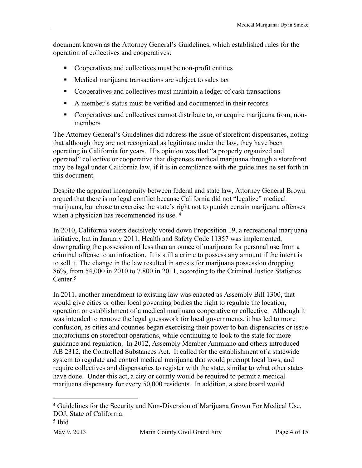document known as the Attorney General's Guidelines, which established rules for the operation of collectives and cooperatives:

- ! Cooperatives and collectives must be non-profit entities
- ! Medical marijuana transactions are subject to sales tax
- Cooperatives and collectives must maintain a ledger of cash transactions
- ! A member's status must be verified and documented in their records
- ! Cooperatives and collectives cannot distribute to, or acquire marijuana from, nonmembers

The Attorney General's Guidelines did address the issue of storefront dispensaries, noting that although they are not recognized as legitimate under the law, they have been operating in California for years. His opinion was that "a properly organized and operated" collective or cooperative that dispenses medical marijuana through a storefront may be legal under California law, if it is in compliance with the guidelines he set forth in this document.

Despite the apparent incongruity between federal and state law, Attorney General Brown argued that there is no legal conflict because California did not "legalize" medical marijuana, but chose to exercise the state's right not to punish certain marijuana offenses when a physician has recommended its use.<sup>4</sup>

In 2010, California voters decisively voted down Proposition 19, a recreational marijuana initiative, but in January 2011, Health and Safety Code 11357 was implemented, downgrading the possession of less than an ounce of marijuana for personal use from a criminal offense to an infraction. It is still a crime to possess any amount if the intent is to sell it. The change in the law resulted in arrests for marijuana possession dropping 86%, from 54,000 in 2010 to 7,800 in 2011, according to the Criminal Justice Statistics Center.<sup>5</sup>

In 2011, another amendment to existing law was enacted as Assembly Bill 1300, that would give cities or other local governing bodies the right to regulate the location, operation or establishment of a medical marijuana cooperative or collective. Although it was intended to remove the legal guesswork for local governments, it has led to more confusion, as cities and counties began exercising their power to ban dispensaries or issue moratoriums on storefront operations, while continuing to look to the state for more guidance and regulation. In 2012, Assembly Member Ammiano and others introduced AB 2312, the Controlled Substances Act. It called for the establishment of a statewide system to regulate and control medical marijuana that would preempt local laws, and require collectives and dispensaries to register with the state, similar to what other states have done. Under this act, a city or county would be required to permit a medical marijuana dispensary for every 50,000 residents. In addition, a state board would

 <sup>4</sup> Guidelines for the Security and Non-Diversion of Marijuana Grown For Medical Use, DOJ, State of California.

<sup>5</sup> Ibid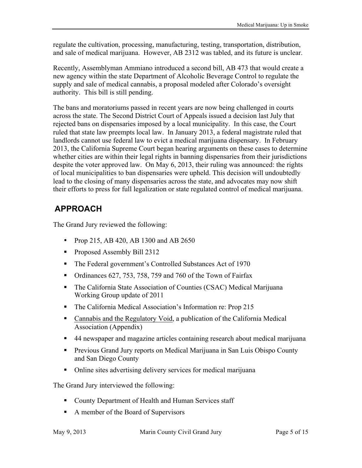regulate the cultivation, processing, manufacturing, testing, transportation, distribution, and sale of medical marijuana. However, AB 2312 was tabled, and its future is unclear.

Recently, Assemblyman Ammiano introduced a second bill, AB 473 that would create a new agency within the state Department of Alcoholic Beverage Control to regulate the supply and sale of medical cannabis, a proposal modeled after Colorado's oversight authority. This bill is still pending.

The bans and moratoriums passed in recent years are now being challenged in courts across the state. The Second District Court of Appeals issued a decision last July that rejected bans on dispensaries imposed by a local municipality. In this case, the Court ruled that state law preempts local law. In January 2013, a federal magistrate ruled that landlords cannot use federal law to evict a medical marijuana dispensary. In February 2013, the California Supreme Court began hearing arguments on these cases to determine whether cities are within their legal rights in banning dispensaries from their jurisdictions despite the voter approved law. On May 6, 2013, their ruling was announced: the rights of local municipalities to ban dispensaries were upheld. This decision will undoubtedly lead to the closing of many dispensaries across the state, and advocates may now shift their efforts to press for full legalization or state regulated control of medical marijuana.

### **APPROACH**

The Grand Jury reviewed the following:

- Prop 215, AB 420, AB 1300 and AB 2650
- **Proposed Assembly Bill 2312**
- ! The Federal government's Controlled Substances Act of 1970
- Ordinances 627, 753, 758, 759 and 760 of the Town of Fairfax
- ! The California State Association of Counties (CSAC) Medical Marijuana Working Group update of 2011
- ! The California Medical Association's Information re: Prop 215
- ! Cannabis and the Regulatory Void, a publication of the California Medical Association (Appendix)
- ! 44 newspaper and magazine articles containing research about medical marijuana
- ! Previous Grand Jury reports on Medical Marijuana in San Luis Obispo County and San Diego County
- ! Online sites advertising delivery services for medical marijuana

The Grand Jury interviewed the following:

- **Example 2** County Department of Health and Human Services staff
- ! A member of the Board of Supervisors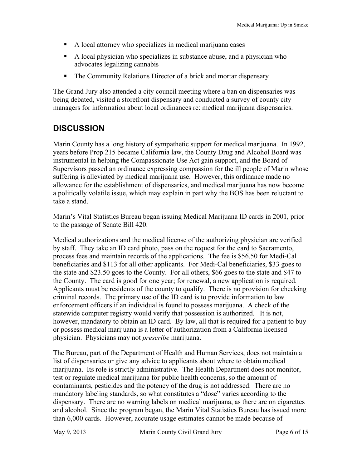- ! A local attorney who specializes in medical marijuana cases
- ! A local physician who specializes in substance abuse, and a physician who advocates legalizing cannabis
- ! The Community Relations Director of a brick and mortar dispensary

The Grand Jury also attended a city council meeting where a ban on dispensaries was being debated, visited a storefront dispensary and conducted a survey of county city managers for information about local ordinances re: medical marijuana dispensaries.

### **DISCUSSION**

Marin County has a long history of sympathetic support for medical marijuana. In 1992, years before Prop 215 became California law, the County Drug and Alcohol Board was instrumental in helping the Compassionate Use Act gain support, and the Board of Supervisors passed an ordinance expressing compassion for the ill people of Marin whose suffering is alleviated by medical marijuana use. However, this ordinance made no allowance for the establishment of dispensaries, and medical marijuana has now become a politically volatile issue, which may explain in part why the BOS has been reluctant to take a stand.

Marin's Vital Statistics Bureau began issuing Medical Marijuana ID cards in 2001, prior to the passage of Senate Bill 420.

Medical authorizations and the medical license of the authorizing physician are verified by staff. They take an ID card photo, pass on the request for the card to Sacramento, process fees and maintain records of the applications. The fee is \$56.50 for Medi-Cal beneficiaries and \$113 for all other applicants. For Medi-Cal beneficiaries, \$33 goes to the state and \$23.50 goes to the County. For all others, \$66 goes to the state and \$47 to the County. The card is good for one year; for renewal, a new application is required. Applicants must be residents of the county to qualify. There is no provision for checking criminal records. The primary use of the ID card is to provide information to law enforcement officers if an individual is found to possess marijuana. A check of the statewide computer registry would verify that possession is authorized. It is not, however, mandatory to obtain an ID card. By law, all that is required for a patient to buy or possess medical marijuana is a letter of authorization from a California licensed physician. Physicians may not *prescribe* marijuana.

The Bureau, part of the Department of Health and Human Services, does not maintain a list of dispensaries or give any advice to applicants about where to obtain medical marijuana. Its role is strictly administrative. The Health Department does not monitor, test or regulate medical marijuana for public health concerns, so the amount of contaminants, pesticides and the potency of the drug is not addressed. There are no mandatory labeling standards, so what constitutes a "dose" varies according to the dispensary. There are no warning labels on medical marijuana, as there are on cigarettes and alcohol. Since the program began, the Marin Vital Statistics Bureau has issued more than 6,000 cards. However, accurate usage estimates cannot be made because of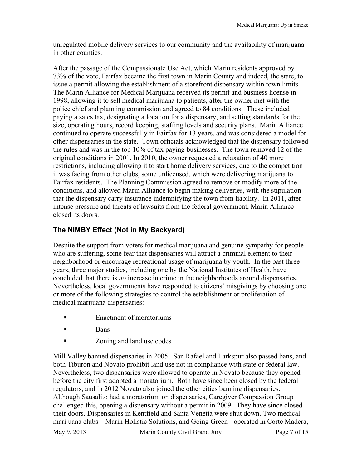unregulated mobile delivery services to our community and the availability of marijuana in other counties.

After the passage of the Compassionate Use Act, which Marin residents approved by 73% of the vote, Fairfax became the first town in Marin County and indeed, the state, to issue a permit allowing the establishment of a storefront dispensary within town limits. The Marin Alliance for Medical Marijuana received its permit and business license in 1998, allowing it to sell medical marijuana to patients, after the owner met with the police chief and planning commission and agreed to 84 conditions. These included paying a sales tax, designating a location for a dispensary, and setting standards for the size, operating hours, record keeping, staffing levels and security plans. Marin Alliance continued to operate successfully in Fairfax for 13 years, and was considered a model for other dispensaries in the state. Town officials acknowledged that the dispensary followed the rules and was in the top 10% of tax paying businesses. The town removed 12 of the original conditions in 2001. In 2010, the owner requested a relaxation of 40 more restrictions, including allowing it to start home delivery services, due to the competition it was facing from other clubs, some unlicensed, which were delivering marijuana to Fairfax residents. The Planning Commission agreed to remove or modify more of the conditions, and allowed Marin Alliance to begin making deliveries, with the stipulation that the dispensary carry insurance indemnifying the town from liability. In 2011, after intense pressure and threats of lawsuits from the federal government, Marin Alliance closed its doors.

#### **The NIMBY Effect (Not in My Backyard)**

Despite the support from voters for medical marijuana and genuine sympathy for people who are suffering, some fear that dispensaries will attract a criminal element to their neighborhood or encourage recreational usage of marijuana by youth. In the past three years, three major studies, including one by the National Institutes of Health, have concluded that there is *no* increase in crime in the neighborhoods around dispensaries. Nevertheless, local governments have responded to citizens' misgivings by choosing one or more of the following strategies to control the establishment or proliferation of medical marijuana dispensaries:

- Enactment of moratoriums
- **Bans**
- **Example 1** Zoning and land use codes

Mill Valley banned dispensaries in 2005. San Rafael and Larkspur also passed bans, and both Tiburon and Novato prohibit land use not in compliance with state or federal law. Nevertheless, two dispensaries were allowed to operate in Novato because they opened before the city first adopted a moratorium. Both have since been closed by the federal regulators, and in 2012 Novato also joined the other cities banning dispensaries. Although Sausalito had a moratorium on dispensaries, Caregiver Compassion Group challenged this, opening a dispensary without a permit in 2009. They have since closed their doors. Dispensaries in Kentfield and Santa Venetia were shut down. Two medical marijuana clubs – Marin Holistic Solutions, and Going Green - operated in Corte Madera,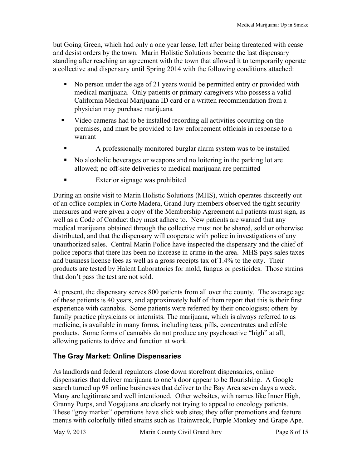but Going Green, which had only a one year lease, left after being threatened with cease and desist orders by the town. Marin Holistic Solutions became the last dispensary standing after reaching an agreement with the town that allowed it to temporarily operate a collective and dispensary until Spring 2014 with the following conditions attached:

- No person under the age of 21 years would be permitted entry or provided with medical marijuana. Only patients or primary caregivers who possess a valid California Medical Marijuana ID card or a written recommendation from a physician may purchase marijuana
- ! Video cameras had to be installed recording all activities occurring on the premises, and must be provided to law enforcement officials in response to a warrant
- ! A professionally monitored burglar alarm system was to be installed
- ! No alcoholic beverages or weapons and no loitering in the parking lot are allowed; no off-site deliveries to medical marijuana are permitted
- **Exterior signage was prohibited**

During an onsite visit to Marin Holistic Solutions (MHS), which operates discreetly out of an office complex in Corte Madera, Grand Jury members observed the tight security measures and were given a copy of the Membership Agreement all patients must sign, as well as a Code of Conduct they must adhere to. New patients are warned that any medical marijuana obtained through the collective must not be shared, sold or otherwise distributed, and that the dispensary will cooperate with police in investigations of any unauthorized sales. Central Marin Police have inspected the dispensary and the chief of police reports that there has been no increase in crime in the area. MHS pays sales taxes and business license fees as well as a gross receipts tax of 1.4% to the city. Their products are tested by Halent Laboratories for mold, fungus or pesticides. Those strains that don't pass the test are not sold.

At present, the dispensary serves 800 patients from all over the county. The average age of these patients is 40 years, and approximately half of them report that this is their first experience with cannabis. Some patients were referred by their oncologists; others by family practice physicians or internists. The marijuana, which is always referred to as medicine, is available in many forms, including teas, pills, concentrates and edible products. Some forms of cannabis do not produce any psychoactive "high" at all, allowing patients to drive and function at work.

#### **The Gray Market: Online Dispensaries**

As landlords and federal regulators close down storefront dispensaries, online dispensaries that deliver marijuana to one's door appear to be flourishing. A Google search turned up 98 online businesses that deliver to the Bay Area seven days a week. Many are legitimate and well intentioned. Other websites, with names like Inner High, Granny Purps, and Yogajuana are clearly not trying to appeal to oncology patients. These "gray market" operations have slick web sites; they offer promotions and feature menus with colorfully titled strains such as Trainwreck, Purple Monkey and Grape Ape.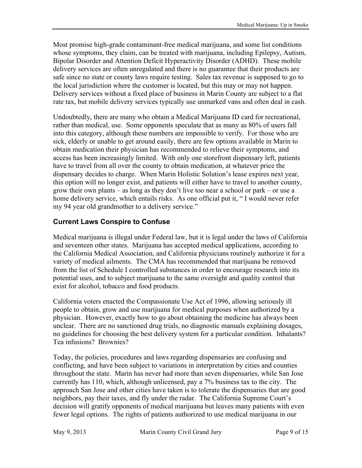Most promise high-grade contaminant-free medical marijuana, and some list conditions whose symptoms, they claim, can be treated with marijuana, including Epilepsy, Autism, Bipolar Disorder and Attention Deficit Hyperactivity Disorder (ADHD). These mobile delivery services are often unregulated and there is no guarantee that their products are safe since no state or county laws require testing. Sales tax revenue is supposed to go to the local jurisdiction where the customer is located, but this may or may not happen. Delivery services without a fixed place of business in Marin County are subject to a flat rate tax, but mobile delivery services typically use unmarked vans and often deal in cash.

Undoubtedly, there are many who obtain a Medical Marijuana ID card for recreational, rather than medical, use. Some opponents speculate that as many as 80% of users fall into this category, although these numbers are impossible to verify. For those who are sick, elderly or unable to get around easily, there are few options available in Marin to obtain medication their physician has recommended to relieve their symptoms, and access has been increasingly limited. With only one storefront dispensary left, patients have to travel from all over the county to obtain medication, at whatever price the dispensary decides to charge. When Marin Holistic Solution's lease expires next year, this option will no longer exist, and patients will either have to travel to another county, grow their own plants – as long as they don't live too near a school or park – or use a home delivery service, which entails risks. As one official put it, " I would never refer my 94 year old grandmother to a delivery service."

#### **Current Laws Conspire to Confuse**

Medical marijuana is illegal under Federal law, but it is legal under the laws of California and seventeen other states. Marijuana has accepted medical applications, according to the California Medical Association, and California physicians routinely authorize it for a variety of medical ailments. The CMA has recommended that marijuana be removed from the list of Schedule I controlled substances in order to encourage research into its potential uses, and to subject marijuana to the same oversight and quality control that exist for alcohol, tobacco and food products.

California voters enacted the Compassionate Use Act of 1996, allowing seriously ill people to obtain, grow and use marijuana for medical purposes when authorized by a physician. However, exactly how to go about obtaining the medicine has always been unclear. There are no sanctioned drug trials, no diagnostic manuals explaining dosages, no guidelines for choosing the best delivery system for a particular condition. Inhalants? Tea infusions? Brownies?

Today, the policies, procedures and laws regarding dispensaries are confusing and conflicting, and have been subject to variations in interpretation by cities and counties throughout the state. Marin has never had more than seven dispensaries, while San Jose currently has 110, which, although unlicensed, pay a 7% business tax to the city. The approach San Jose and other cities have taken is to tolerate the dispensaries that are good neighbors, pay their taxes, and fly under the radar. The California Supreme Court's decision will gratify opponents of medical marijuana but leaves many patients with even fewer legal options. The rights of patients authorized to use medical marijuana in our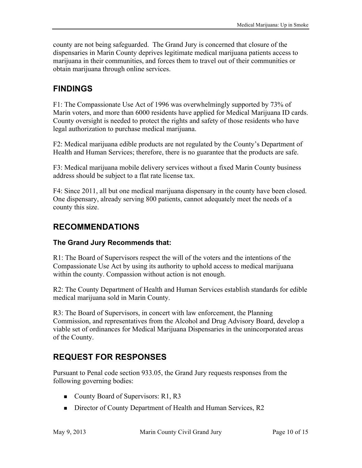county are not being safeguarded. The Grand Jury is concerned that closure of the dispensaries in Marin County deprives legitimate medical marijuana patients access to marijuana in their communities, and forces them to travel out of their communities or obtain marijuana through online services.

### **FINDINGS**

F1: The Compassionate Use Act of 1996 was overwhelmingly supported by 73% of Marin voters, and more than 6000 residents have applied for Medical Marijuana ID cards. County oversight is needed to protect the rights and safety of those residents who have legal authorization to purchase medical marijuana.

F2: Medical marijuana edible products are not regulated by the County's Department of Health and Human Services; therefore, there is no guarantee that the products are safe.

F3: Medical marijuana mobile delivery services without a fixed Marin County business address should be subject to a flat rate license tax.

F4: Since 2011, all but one medical marijuana dispensary in the county have been closed. One dispensary, already serving 800 patients, cannot adequately meet the needs of a county this size.

### **RECOMMENDATIONS**

#### **The Grand Jury Recommends that:**

R1: The Board of Supervisors respect the will of the voters and the intentions of the Compassionate Use Act by using its authority to uphold access to medical marijuana within the county. Compassion without action is not enough.

R2: The County Department of Health and Human Services establish standards for edible medical marijuana sold in Marin County.

R3: The Board of Supervisors, in concert with law enforcement, the Planning Commission, and representatives from the Alcohol and Drug Advisory Board, develop a viable set of ordinances for Medical Marijuana Dispensaries in the unincorporated areas of the County.

### **REQUEST FOR RESPONSES**

Pursuant to Penal code section 933.05, the Grand Jury requests responses from the following governing bodies:

- County Board of Supervisors: R1, R3
- Director of County Department of Health and Human Services, R2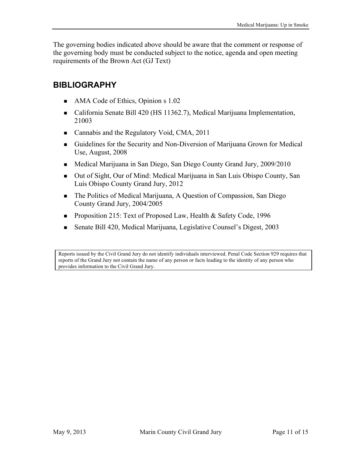The governing bodies indicated above should be aware that the comment or response of the governing body must be conducted subject to the notice, agenda and open meeting requirements of the Brown Act (GJ Text)

### **BIBLIOGRAPHY**

- $\blacksquare$  AMA Code of Ethics, Opinion s 1.02
- California Senate Bill 420 (HS 11362.7), Medical Marijuana Implementation, 21003
- Cannabis and the Regulatory Void, CMA, 2011
- " Guidelines for the Security and Non-Diversion of Marijuana Grown for Medical Use, August, 2008
- Medical Marijuana in San Diego, San Diego County Grand Jury, 2009/2010
- Out of Sight, Our of Mind: Medical Marijuana in San Luis Obispo County, San Luis Obispo County Grand Jury, 2012
- The Politics of Medical Marijuana, A Question of Compassion, San Diego County Grand Jury, 2004/2005
- **Proposition 215: Text of Proposed Law, Health & Safety Code, 1996**
- Senate Bill 420, Medical Marijuana, Legislative Counsel's Digest, 2003

Reports issued by the Civil Grand Jury do not identify individuals interviewed. Penal Code Section 929 requires that reports of the Grand Jury not contain the name of any person or facts leading to the identity of any person who provides information to the Civil Grand Jury.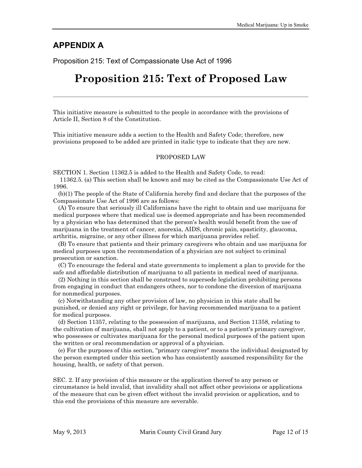#### **APPENDIX A**

Proposition 215: Text of Compassionate Use Act of 1996

### **Proposition 215: Text of Proposed Law**

This initiative measure is submitted to the people in accordance with the provisions of Article II, Section 8 of the Constitution.

This initiative measure adds a section to the Health and Safety Code; therefore, new provisions proposed to be added are printed in italic type to indicate that they are new.

#### PROPOSED LAW

SECTION 1. Section 11362.5 is added to the Health and Safety Code, to read:

11362.5. (a) This section shall be known and may be cited as the Compassionate Use Act of 1996.

(b)(1) The people of the State of California hereby find and declare that the purposes of the Compassionate Use Act of 1996 are as follows:

(A) To ensure that seriously ill Californians have the right to obtain and use marijuana for medical purposes where that medical use is deemed appropriate and has been recommended by a physician who has determined that the person's health would benefit from the use of marijuana in the treatment of cancer, anorexia, AIDS, chronic pain, spasticity, glaucoma, arthritis, migraine, or any other illness for which marijuana provides relief.

(B) To ensure that patients and their primary caregivers who obtain and use marijuana for medical purposes upon the recommendation of a physician are not subject to criminal prosecution or sanction.

(C) To encourage the federal and state governments to implement a plan to provide for the safe and affordable distribution of marijuana to all patients in medical need of marijuana.

(2) Nothing in this section shall be construed to supersede legislation prohibiting persons from engaging in conduct that endangers others, nor to condone the diversion of marijuana for nonmedical purposes.

(c) Notwithstanding any other provision of law, no physician in this state shall be punished, or denied any right or privilege, for having recommended marijuana to a patient for medical purposes.

(d) Section 11357, relating to the possession of marijuana, and Section 11358, relating to the cultivation of marijuana, shall not apply to a patient, or to a patient's primary caregiver, who possesses or cultivates marijuana for the personal medical purposes of the patient upon the written or oral recommendation or approval of a physician.

(e) For the purposes of this section, ''primary caregiver" means the individual designated by the person exempted under this section who has consistently assumed responsibility for the housing, health, or safety of that person.

SEC. 2. If any provision of this measure or the application thereof to any person or circumstance is held invalid, that invalidity shall not affect other provisions or applications of the measure that can be given effect without the invalid provision or application, and to this end the provisions of this measure are severable.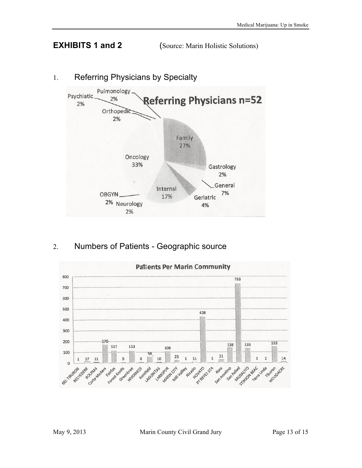**EXHIBITS 1 and 2** (Source: Marin Holistic Solutions)



### 1. Referring Physicians by Specialty

2. Numbers of Patients - Geographic source

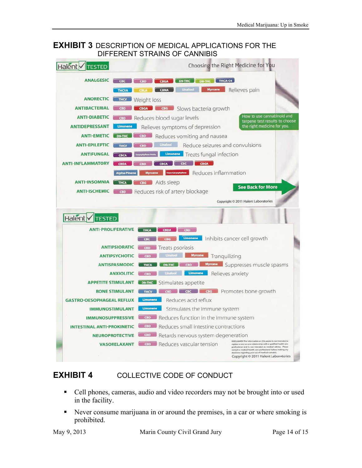#### **EXHIBIT 3** DESCRIPTION OF MEDICAL APPLICATIONS FOR THE DIFFERENT STRAINS OF CANNIBIS



#### **EXHIBIT 4** COLLECTIVE CODE OF CONDUCT

- ! Cell phones, cameras, audio and video recorders may not be brought into or used in the facility.
- Never consume marijuana in or around the premises, in a car or where smoking is prohibited.